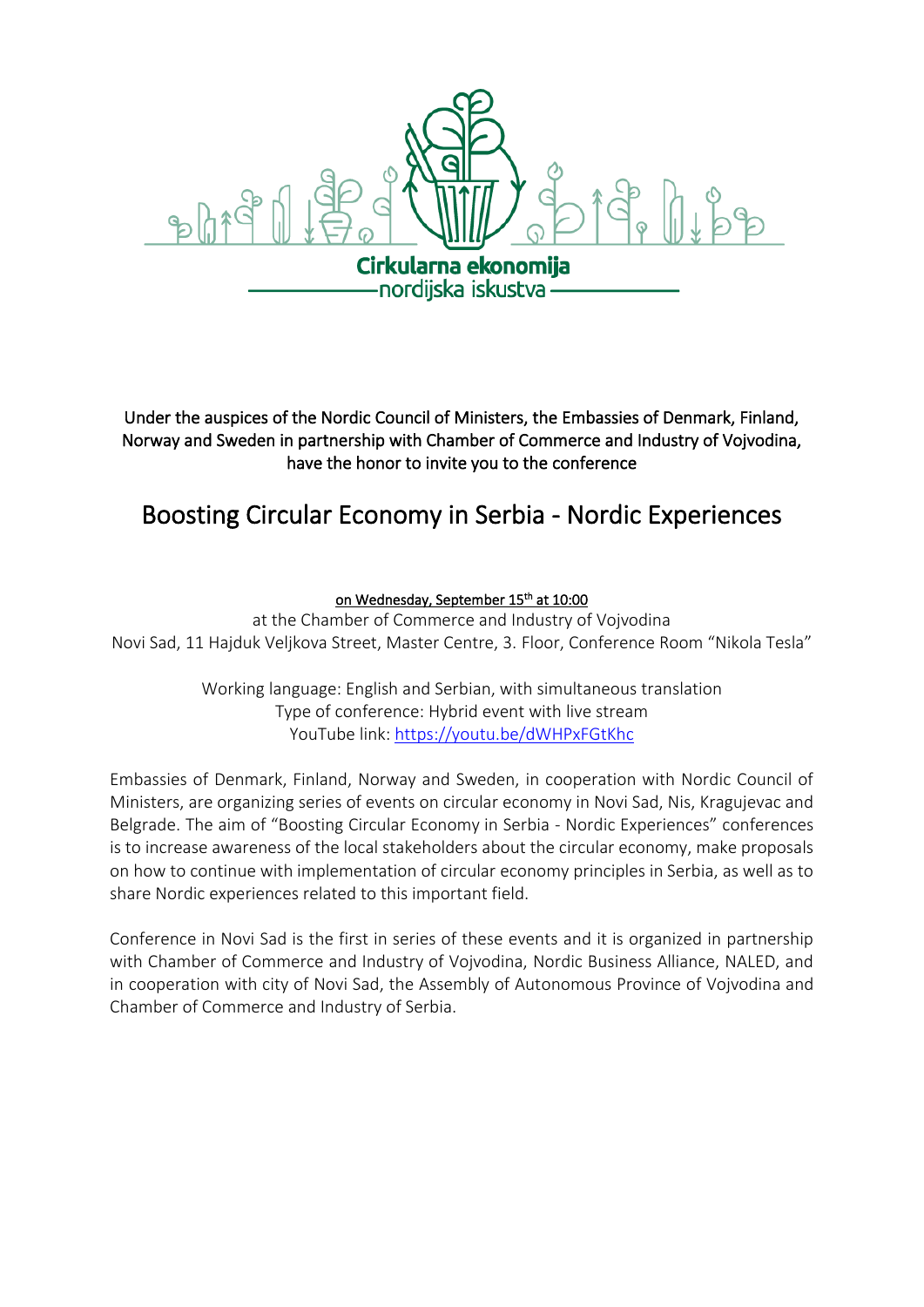

Under the auspices of the Nordic Council of Ministers, the Embassies of Denmark, Finland, Norway and Sweden in partnership with Chamber of Commerce and Industry of Vojvodina, have the honor to invite you to the conference

# Boosting Circular Economy in Serbia - Nordic Experiences

# on Wednesday, September 15<sup>th</sup> at 10:00

at the Chamber of Commerce and Industry of Vojvodina Novi Sad, 11 Hajduk Veljkova Street, Master Centre, 3. Floor, Conference Room "Nikola Tesla"

> Working language: English and Serbian, with simultaneous translation Type of conference: Hybrid event with live stream YouTube link:<https://youtu.be/dWHPxFGtKhc>

Embassies of Denmark, Finland, Norway and Sweden, in cooperation with Nordic Council of Ministers, are organizing series of events on circular economy in Novi Sad, Nis, Kragujevac and Belgrade. The aim of "Boosting Circular Economy in Serbia - Nordic Experiences" conferences is to increase awareness of the local stakeholders about the circular economy, make proposals on how to continue with implementation of circular economy principles in Serbia, as well as to share Nordic experiences related to this important field.

Conference in Novi Sad is the first in series of these events and it is organized in partnership with Chamber of Commerce and Industry of Vojvodina, Nordic Business Alliance, NALED, and in cooperation with city of Novi Sad, the Assembly of Autonomous Province of Vojvodina and Chamber of Commerce and Industry of Serbia.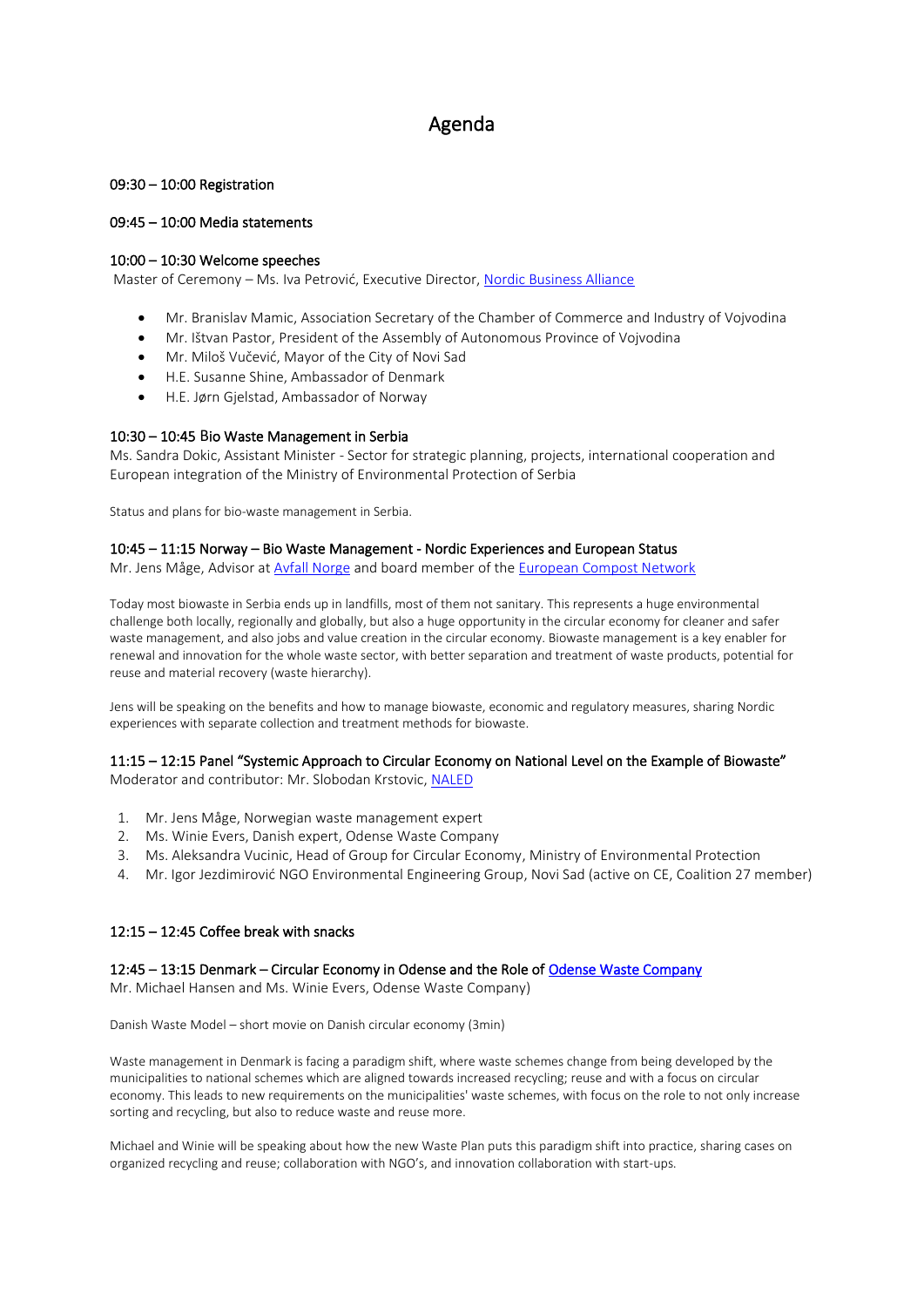# Agenda

#### 09:30 – 10:00 Registration

#### 09:45 – 10:00 Media statements

#### 10:00 – 10:30 Welcome speeches

Master of Ceremony – Ms. Iva Petrović, Executive Director, [Nordic Business Alliance](https://www.nba.org.rs/)

- Mr. Branislav Mamic, Association Secretary of the Chamber of Commerce and Industry of Vojvodina
- Mr. Ištvan Pastor, President of the Assembly of Autonomous Province of Vojvodina
- Mr. Miloš Vučević, Mayor of the City of Novi Sad
- H.E. Susanne Shine, Ambassador of Denmark
- H.E. Jørn Gjelstad, Ambassador of Norway

#### 10:30 – 10:45 Bio Waste Management in Serbia

Ms. Sandra Dokic, Assistant Minister - Sector for strategic planning, projects, international cooperation and European integration of the Ministry of Environmental Protection of Serbia

Status and plans for bio-waste management in Serbia.

#### 10:45 – 11:15 Norway – Bio Waste Management - Nordic Experiences and European Status

Mr. Jens Måge, Advisor at [Avfall Norge](https://avfallnorge.no/about-avfall-norge) and board member of the [European Compost Network](https://www.compostnetwork.info/)

Today most biowaste in Serbia ends up in landfills, most of them not sanitary. This represents a huge environmental challenge both locally, regionally and globally, but also a huge opportunity in the circular economy for cleaner and safer waste management, and also jobs and value creation in the circular economy. Biowaste management is a key enabler for renewal and innovation for the whole waste sector, with better separation and treatment of waste products, potential for reuse and material recovery (waste hierarchy).

Jens will be speaking on the benefits and how to manage biowaste, economic and regulatory measures, sharing Nordic experiences with separate collection and treatment methods for biowaste.

### 11:15 – 12:15 Panel "Systemic Approach to Circular Economy on National Level on the Example of Biowaste"

Moderator and contributor: Mr. Slobodan Krstovic, [NALED](https://naled.rs/en/sta-je-naled)

- 1. Mr. Jens Måge, Norwegian waste management expert
- 2. Ms. Winie Evers, Danish expert, Odense Waste Company
- 3. Ms. Aleksandra Vucinic, Head of Group for Circular Economy, Ministry of Environmental Protection
- 4. Mr. Igor Jezdimirović NGO Environmental Engineering Group, Novi Sad (active on CE, Coalition 27 member)

#### 12:15 – 12:45 Coffee break with snacks

#### 12:45 – 13:15 Denmark – Circular Economy in Odense and the Role of [Odense Waste Company](https://www.odensewaste.com/)

Mr. Michael Hansen and Ms. Winie Evers, Odense Waste Company)

Danish Waste Model – short movie on Danish circular economy (3min)

Waste management in Denmark is facing a paradigm shift, where waste schemes change from being developed by the municipalities to national schemes which are aligned towards increased recycling; reuse and with a focus on circular economy. This leads to new requirements on the municipalities' waste schemes, with focus on the role to not only increase sorting and recycling, but also to reduce waste and reuse more.

Michael and Winie will be speaking about how the new Waste Plan puts this paradigm shift into practice, sharing cases on organized recycling and reuse; collaboration with NGO's, and innovation collaboration with start-ups.